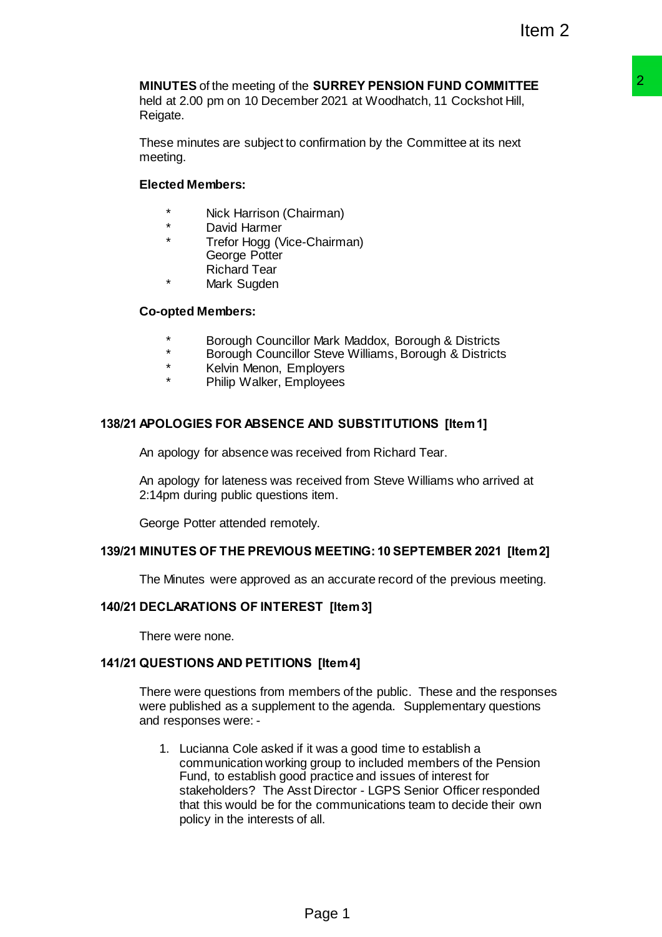# **MINUTES** of the meeting of the **SURREY PENSION FUND COMMITTEE** held at 2.00 pm on 10 December 2021 at Woodhatch, 11 Cockshot Hill,

Reigate.

These minutes are subject to confirmation by the Committee at its next meeting.

### **Elected Members:**

- Nick Harrison (Chairman)
- David Harmer
- Trefor Hogg (Vice-Chairman) George Potter Richard Tear
- Mark Sugden

### **Co-opted Members:**

- Borough Councillor Mark Maddox, Borough & Districts
- \* Borough Councillor Steve Williams, Borough & Districts
- Kelvin Menon, Employers
- Philip Walker, Employees

### **138/21 APOLOGIES FOR ABSENCE AND SUBSTITUTIONS [Item 1]**

An apology for absence was received from Richard Tear.

An apology for lateness was received from Steve Williams who arrived at 2:14pm during public questions item.

George Potter attended remotely.

### **139/21 MINUTES OF THE PREVIOUS MEETING: 10 SEPTEMBER 2021 [Item 2]**

The Minutes were approved as an accurate record of the previous meeting.

### **140/21 DECLARATIONS OF INTEREST [Item 3]**

There were none.

### **141/21 QUESTIONS AND PETITIONS [Item 4]**

There were questions from members of the public. These and the responses were published as a supplement to the agenda. Supplementary questions and responses were: -

1. Lucianna Cole asked if it was a good time to establish a communication working group to included members of the Pension Fund, to establish good practice and issues of interest for stakeholders? The Asst Director - LGPS Senior Officer responded that this would be for the communications team to decide their own policy in the interests of all. **SURREY PENSION FUND COMMITTEE**<br>
Per 2021 at Woodhatch, 11 Cockshot Hill,<br>
Confirmation by the Committee at its next<br>
confirmation by the Committee at its next<br>
ariman)<br>
Chairman)<br>
Chairman)<br>
Chairman<br>
Per Steve Williams,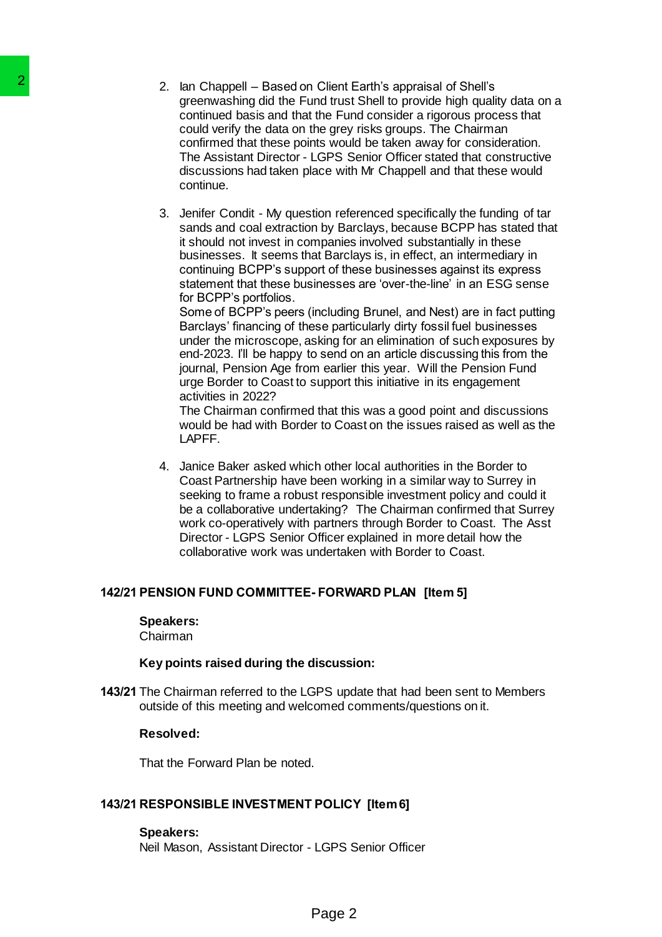2. Ian Chappell – Based on Client Earth's appraisal of Shell's greenwashing did the Fund trust Shell to provide high quality data on a continued basis and that the Fund consider a rigorous process that could verify the data on the grey risks groups. The Chairman confirmed that these points would be taken away for consideration. The Assistant Director - LGPS Senior Officer stated that constructive discussions had taken place with Mr Chappell and that these would continue. 2 am Chengrell – Based on Cleril and the Fundamient or the Special Cleril Magnetic conditional basis and that be fundamic conditioned has the more conditioned in the Sussission Small and the proportioned in the Sussission

3. Jenifer Condit - My question referenced specifically the funding of tar sands and coal extraction by Barclays, because BCPP has stated that it should not invest in companies involved substantially in these businesses. It seems that Barclays is, in effect, an intermediary in continuing BCPP's support of these businesses against its express statement that these businesses are 'over-the-line' in an ESG sense for BCPP's portfolios.

Some of BCPP's peers (including Brunel, and Nest) are in fact putting Barclays' financing of these particularly dirty fossil fuel businesses under the microscope, asking for an elimination of such exposures by end-2023. I'll be happy to send on an article discussing this from the journal, Pension Age from earlier this year. Will the Pension Fund urge Border to Coast to support this initiative in its engagement activities in 2022?

The Chairman confirmed that this was a good point and discussions would be had with Border to Coast on the issues raised as well as the LAPFF.

4. Janice Baker asked which other local authorities in the Border to Coast Partnership have been working in a similar way to Surrey in seeking to frame a robust responsible investment policy and could it be a collaborative undertaking? The Chairman confirmed that Surrey work co-operatively with partners through Border to Coast. The Asst Director - LGPS Senior Officer explained in more detail how the collaborative work was undertaken with Border to Coast.

### **142/21 PENSION FUND COMMITTEE- FORWARD PLAN [Item 5]**

### **Speakers:**

Chairman

### **Key points raised during the discussion:**

**143/21** The Chairman referred to the LGPS update that had been sent to Members outside of this meeting and welcomed comments/questions on it.

### **Resolved:**

That the Forward Plan be noted.

### **143/21 RESPONSIBLE INVESTMENT POLICY [Item 6]**

### **Speakers:**

Neil Mason, Assistant Director - LGPS Senior Officer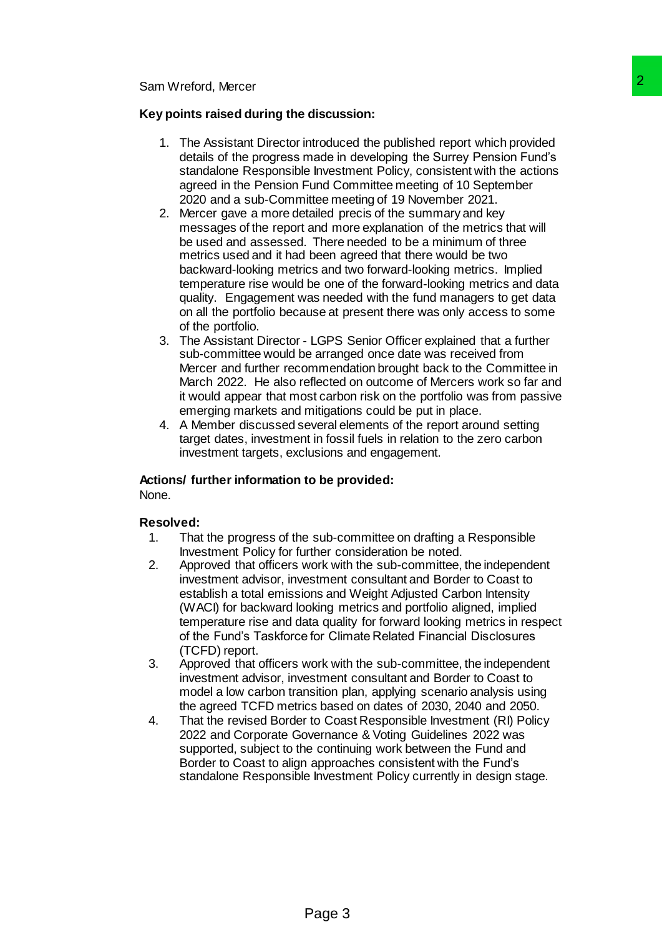### **Key points raised during the discussion:**

- 1. The Assistant Director introduced the published report which provided details of the progress made in developing the Surrey Pension Fund's standalone Responsible Investment Policy, consistent with the actions agreed in the Pension Fund Committee meeting of 10 September 2020 and a sub-Committee meeting of 19 November 2021.
- 2. Mercer gave a more detailed precis of the summary and key messages of the report and more explanation of the metrics that will be used and assessed. There needed to be a minimum of three metrics used and it had been agreed that there would be two backward-looking metrics and two forward-looking metrics. Implied temperature rise would be one of the forward-looking metrics and data quality. Engagement was needed with the fund managers to get data on all the portfolio because at present there was only access to some of the portfolio. **discussion:**<br> **Page 3**<br>
introduced the published report which provided<br>
in twostment Policy, consistent with the actions<br>
in liven Committee meeting of 10 September<br>
in Committee meeting of 10 September<br>
in Committee meet
- 3. The Assistant Director LGPS Senior Officer explained that a further sub-committee would be arranged once date was received from Mercer and further recommendation brought back to the Committee in March 2022. He also reflected on outcome of Mercers work so far and it would appear that most carbon risk on the portfolio was from passive emerging markets and mitigations could be put in place.
- 4. A Member discussed several elements of the report around setting target dates, investment in fossil fuels in relation to the zero carbon investment targets, exclusions and engagement.

### **Actions/ further information to be provided:**

None.

### **Resolved:**

- 1. That the progress of the sub-committee on drafting a Responsible Investment Policy for further consideration be noted.
- 2. Approved that officers work with the sub-committee, the independent investment advisor, investment consultant and Border to Coast to establish a total emissions and Weight Adjusted Carbon Intensity (WACI) for backward looking metrics and portfolio aligned, implied temperature rise and data quality for forward looking metrics in respect of the Fund's Taskforce for Climate Related Financial Disclosures (TCFD) report.
- 3. Approved that officers work with the sub-committee, the independent investment advisor, investment consultant and Border to Coast to model a low carbon transition plan, applying scenario analysis using the agreed TCFD metrics based on dates of 2030, 2040 and 2050.
- 4. That the revised Border to Coast Responsible Investment (RI) Policy 2022 and Corporate Governance & Voting Guidelines 2022 was supported, subject to the continuing work between the Fund and Border to Coast to align approaches consistent with the Fund's standalone Responsible Investment Policy currently in design stage.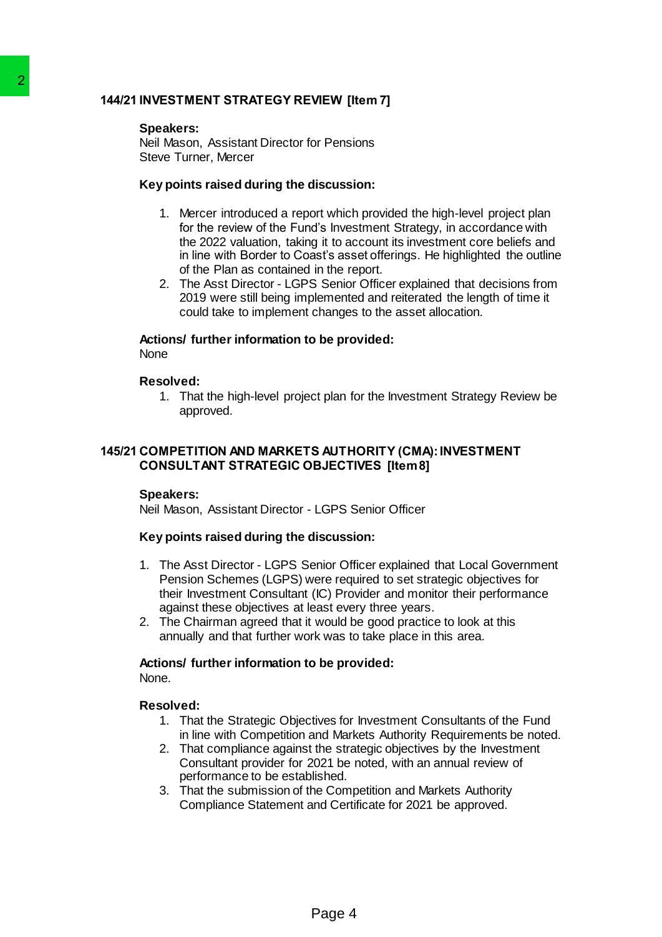### **144/21 INVESTMENT STRATEGY REVIEW [Item 7]**

### **Speakers:**

Neil Mason, Assistant Director for Pensions Steve Turner, Mercer

### **Key points raised during the discussion:**

- 1. Mercer introduced a report which provided the high-level project plan for the review of the Fund's Investment Strategy, in accordance with the 2022 valuation, taking it to account its investment core beliefs and in line with Border to Coast's asset offerings. He highlighted the outline of the Plan as contained in the report. **EXERCT SPACE ASSES AND THE SPACE SECTION AND MARKETS AND MANON, ASSES AND THE SHOW AND MANUSON ASSES AND THE PERPORT OF THE PREPORT OF THE PREPORT OF THE PREPORT OF THE PREPORT OF THE PREPORT OF THE PREPORT OF THE PREPORT** 
	- 2. The Asst Director LGPS Senior Officer explained that decisions from 2019 were still being implemented and reiterated the length of time it could take to implement changes to the asset allocation.

#### **Actions/ further information to be provided: None**

# **Resolved:**

1. That the high-level project plan for the Investment Strategy Review be approved.

### **145/21 COMPETITION AND MARKETS AUTHORITY (CMA):INVESTMENT CONSULTANT STRATEGIC OBJECTIVES [Item 8]**

### **Speakers:**

Neil Mason, Assistant Director - LGPS Senior Officer

### **Key points raised during the discussion:**

- 1. The Asst Director LGPS Senior Officer explained that Local Government Pension Schemes (LGPS) were required to set strategic objectives for their Investment Consultant (IC) Provider and monitor their performance against these objectives at least every three years.
- 2. The Chairman agreed that it would be good practice to look at this annually and that further work was to take place in this area.

### **Actions/ further information to be provided:**

None.

### **Resolved:**

- 1. That the Strategic Objectives for Investment Consultants of the Fund in line with Competition and Markets Authority Requirements be noted.
- 2. That compliance against the strategic objectives by the Investment Consultant provider for 2021 be noted, with an annual review of performance to be established.
- 3. That the submission of the Competition and Markets Authority Compliance Statement and Certificate for 2021 be approved.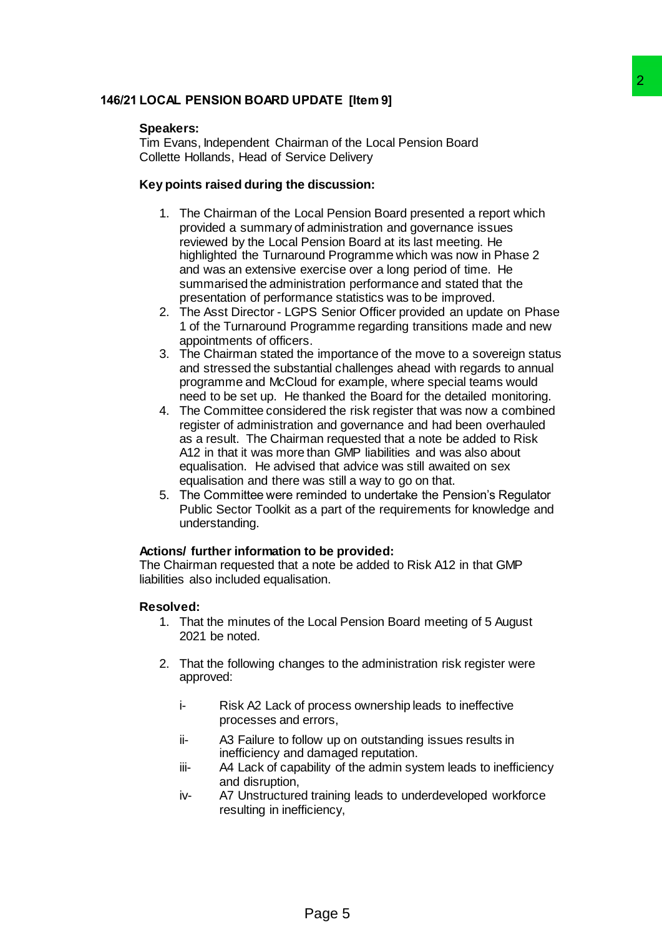### **146/21 LOCAL PENSION BOARD UPDATE [Item 9]**

### **Speakers:**

Tim Evans, Independent Chairman of the Local Pension Board Collette Hollands, Head of Service Delivery

### **Key points raised during the discussion:**

- 1. The Chairman of the Local Pension Board presented a report which provided a summary of administration and governance issues reviewed by the Local Pension Board at its last meeting. He highlighted the Turnaround Programme which was now in Phase 2 and was an extensive exercise over a long period of time. He summarised the administration performance and stated that the presentation of performance statistics was to be improved. Particular the Local Pension Board<br>
man of the Local Pension Board<br>
wice Delivery<br>
discussion:<br>
administration and governate a report which<br>
administration and governance issues<br>
persion Board at its last meeting. He<br>
exer
- 2. The Asst Director LGPS Senior Officer provided an update on Phase 1 of the Turnaround Programme regarding transitions made and new appointments of officers.
- 3. The Chairman stated the importance of the move to a sovereign status and stressed the substantial challenges ahead with regards to annual programme and McCloud for example, where special teams would need to be set up. He thanked the Board for the detailed monitoring.
- 4. The Committee considered the risk register that was now a combined register of administration and governance and had been overhauled as a result. The Chairman requested that a note be added to Risk A12 in that it was more than GMP liabilities and was also about equalisation. He advised that advice was still awaited on sex equalisation and there was still a way to go on that.
- 5. The Committee were reminded to undertake the Pension's Regulator Public Sector Toolkit as a part of the requirements for knowledge and understanding.

### **Actions/ further information to be provided:**

The Chairman requested that a note be added to Risk A12 in that GMP liabilities also included equalisation.

### **Resolved:**

- 1. That the minutes of the Local Pension Board meeting of 5 August 2021 be noted.
- 2. That the following changes to the administration risk register were approved:
	- i- Risk A2 Lack of process ownership leads to ineffective processes and errors,
	- ii- A3 Failure to follow up on outstanding issues results in inefficiency and damaged reputation.
	- iii- A4 Lack of capability of the admin system leads to inefficiency and disruption,
	- iv- A7 Unstructured training leads to underdeveloped workforce resulting in inefficiency,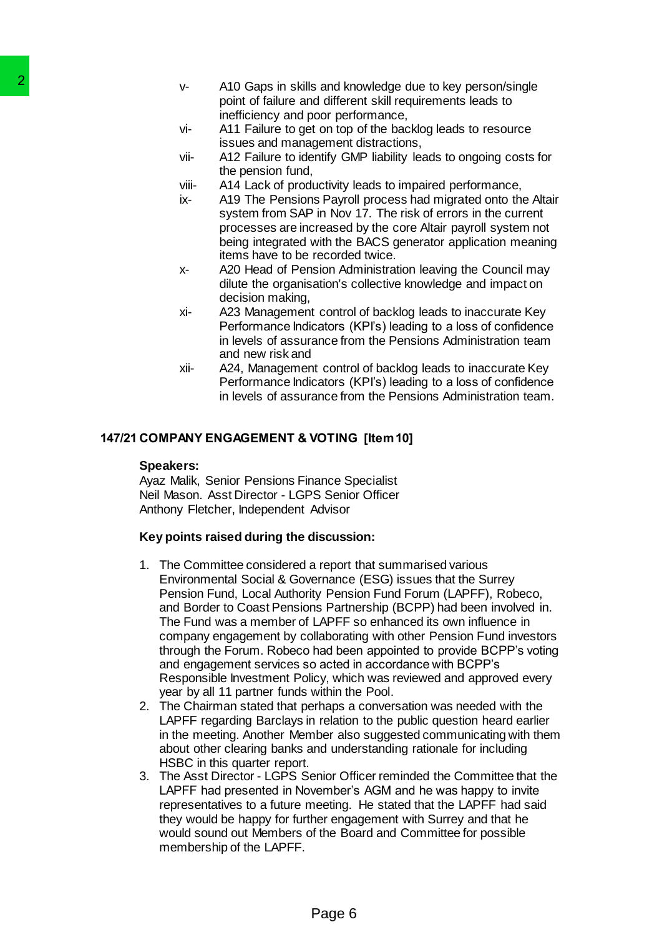- v- A10 Gaps in skills and knowledge due to key person/single point of failure and different skill requirements leads to inefficiency and poor performance,
- vi- A11 Failure to get on top of the backlog leads to resource issues and management distractions,
- vii- A12 Failure to identify GMP liability leads to ongoing costs for the pension fund,
- viii- A14 Lack of productivity leads to impaired performance,
- ix- A19 The Pensions Payroll process had migrated onto the Altair system from SAP in Nov 17. The risk of errors in the current processes are increased by the core Altair payroll system not being integrated with the BACS generator application meaning items have to be recorded twice.
- x- A20 Head of Pension Administration leaving the Council may dilute the organisation's collective knowledge and impact on decision making,
- xi- A23 Management control of backlog leads to inaccurate Key Performance Indicators (KPI's) leading to a loss of confidence in levels of assurance from the Pensions Administration team and new risk and
- xii- A24, Management control of backlog leads to inaccurate Key Performance Indicators (KPI's) leading to a loss of confidence in levels of assurance from the Pensions Administration team.

# **147/21 COMPANY ENGAGEMENT & VOTING [Item 10]**

### **Speakers:**

Ayaz Malik, Senior Pensions Finance Specialist Neil Mason. Asst Director - LGPS Senior Officer Anthony Fletcher, Independent Advisor

### **Key points raised during the discussion:**

- 1. The Committee considered a report that summarised various Environmental Social & Governance (ESG) issues that the Surrey Pension Fund, Local Authority Pension Fund Forum (LAPFF), Robeco, and Border to Coast Pensions Partnership (BCPP) had been involved in. The Fund was a member of LAPFF so enhanced its own influence in company engagement by collaborating with other Pension Fund investors through the Forum. Robeco had been appointed to provide BCPP's voting and engagement services so acted in accordance with BCPP's Responsible Investment Policy, which was reviewed and approved every year by all 11 partner funds within the Pool. 2<br>
2<br>
2 A00 Gaps in skills and Miniter<br>
point of failure and differences and monitor and militare than the<br>
16 Findence and management<br>
16 Half Fallure to get on top<br>
16 Half Fallure to get on top<br>
16 Half Fallure to iden
	- 2. The Chairman stated that perhaps a conversation was needed with the LAPFF regarding Barclays in relation to the public question heard earlier in the meeting. Another Member also suggested communicating with them about other clearing banks and understanding rationale for including HSBC in this quarter report.
	- 3. The Asst Director LGPS Senior Officer reminded the Committee that the LAPFF had presented in November's AGM and he was happy to invite representatives to a future meeting. He stated that the LAPFF had said they would be happy for further engagement with Surrey and that he would sound out Members of the Board and Committee for possible membership of the LAPFF.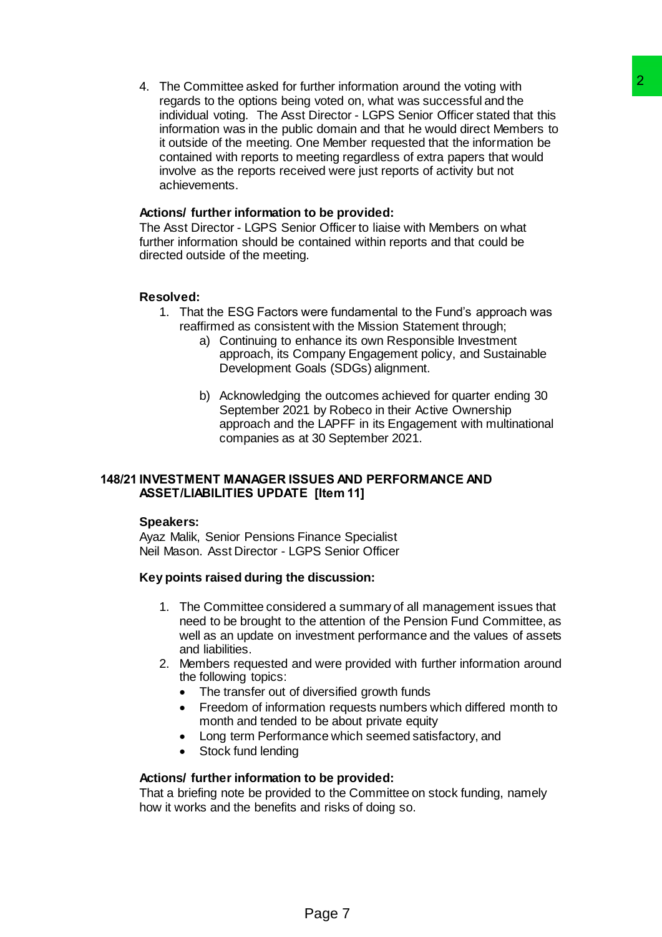4. The Committee asked for further information around the voting with regards to the options being voted on, what was successful and the individual voting. The Asst Director - LGPS Senior Officer stated that this information was in the public domain and that he would direct Members to it outside of the meeting. One Member requested that the information be contained with reports to meeting regardless of extra papers that would involve as the reports received were just reports of activity but not achievements. urther information around the woring with<br>a group of the commic mean of the woring with<br>C Drector - LGPS Senior Officers taked that this<br>is domain and that he would direct Members to<br>clocomain and that he would direct Memb

### **Actions/ further information to be provided:**

The Asst Director - LGPS Senior Officer to liaise with Members on what further information should be contained within reports and that could be directed outside of the meeting.

### **Resolved:**

- 1. That the ESG Factors were fundamental to the Fund's approach was reaffirmed as consistent with the Mission Statement through;
	- a) Continuing to enhance its own Responsible Investment approach, its Company Engagement policy, and Sustainable Development Goals (SDGs) alignment.
	- b) Acknowledging the outcomes achieved for quarter ending 30 September 2021 by Robeco in their Active Ownership approach and the LAPFF in its Engagement with multinational companies as at 30 September 2021.

### **148/21 INVESTMENT MANAGER ISSUES AND PERFORMANCE AND ASSET/LIABILITIES UPDATE [Item 11]**

### **Speakers:**

Ayaz Malik, Senior Pensions Finance Specialist Neil Mason. Asst Director - LGPS Senior Officer

### **Key points raised during the discussion:**

- 1. The Committee considered a summary of all management issues that need to be brought to the attention of the Pension Fund Committee, as well as an update on investment performance and the values of assets and liabilities.
- 2. Members requested and were provided with further information around the following topics:
	- The transfer out of diversified growth funds
	- Freedom of information requests numbers which differed month to month and tended to be about private equity
	- Long term Performance which seemed satisfactory, and
	- Stock fund lending

### **Actions/ further information to be provided:**

That a briefing note be provided to the Committee on stock funding, namely how it works and the benefits and risks of doing so.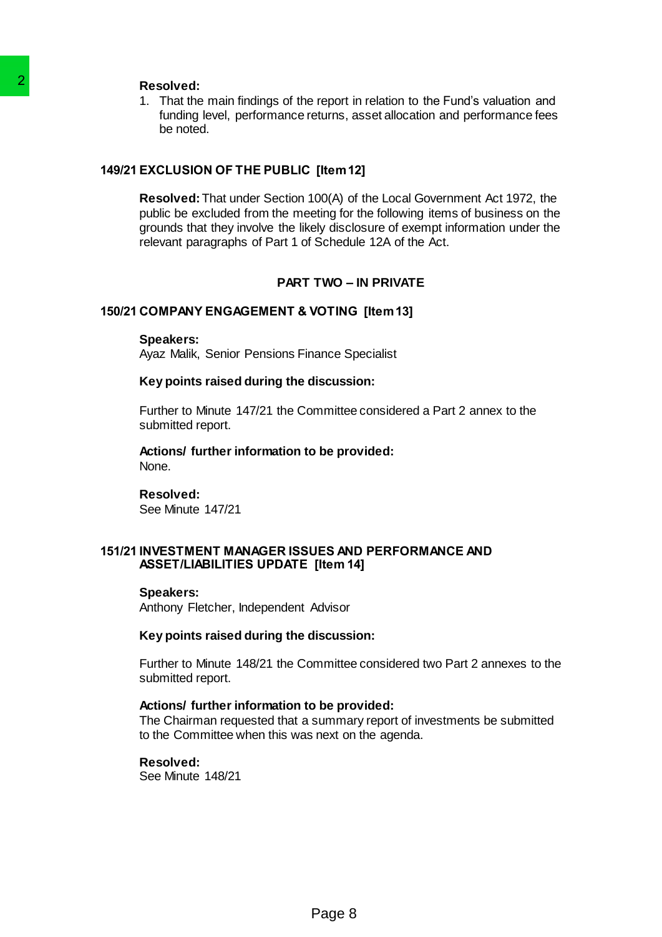1. That the main findings of the report in relation to the Fund's valuation and funding level, performance returns, asset allocation and performance fees be noted.

### **149/21 EXCLUSION OF THE PUBLIC [Item 12]**

**Resolved:**That under Section 100(A) of the Local Government Act 1972, the public be excluded from the meeting for the following items of business on the grounds that they involve the likely disclosure of exempt information under the relevant paragraphs of Part 1 of Schedule 12A of the Act. The main findings of the report of the report of the main findings of the report in funding level, performance returns, as the noted.<br>
Page 8 2 EXCLUSION OF THE PUBLIC [Item 1:<br>
Resolved: That under Section 100(A) of groun

### **PART TWO – IN PRIVATE**

### **150/21 COMPANY ENGAGEMENT & VOTING [Item 13]**

#### **Speakers:**

Ayaz Malik, Senior Pensions Finance Specialist

### **Key points raised during the discussion:**

Further to Minute 147/21 the Committee considered a Part 2 annex to the submitted report.

**Actions/ further information to be provided:** None.

# **Resolved:**

See Minute 147/21

### **151/21 INVESTMENT MANAGER ISSUES AND PERFORMANCE AND ASSET/LIABILITIES UPDATE [Item 14]**

### **Speakers:**

Anthony Fletcher, Independent Advisor

### **Key points raised during the discussion:**

Further to Minute 148/21 the Committee considered two Part 2 annexes to the submitted report.

#### **Actions/ further information to be provided:**

The Chairman requested that a summary report of investments be submitted to the Committee when this was next on the agenda.

# **Resolved:**

See Minute 148/21